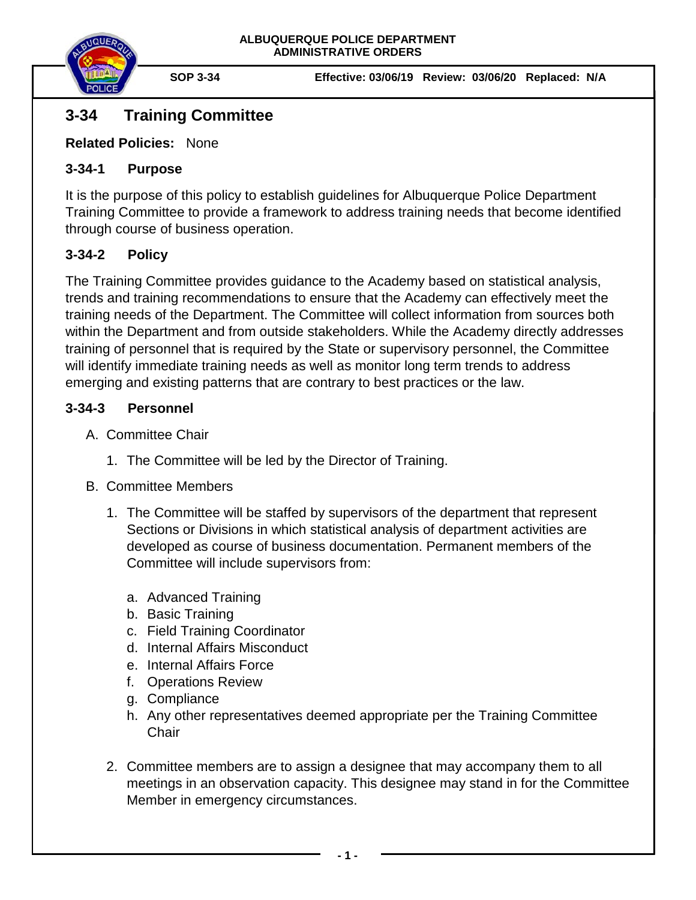

**SOP 3-34 Effective: 03/06/19 Review: 03/06/20 Replaced: N/A**

# **3-34 Training Committee**

**Related Policies:** None

### **3-34-1 Purpose**

It is the purpose of this policy to establish guidelines for Albuquerque Police Department Training Committee to provide a framework to address training needs that become identified through course of business operation.

# **3-34-2 Policy**

The Training Committee provides guidance to the Academy based on statistical analysis, trends and training recommendations to ensure that the Academy can effectively meet the training needs of the Department. The Committee will collect information from sources both within the Department and from outside stakeholders. While the Academy directly addresses training of personnel that is required by the State or supervisory personnel, the Committee will identify immediate training needs as well as monitor long term trends to address emerging and existing patterns that are contrary to best practices or the law.

### **3-34-3 Personnel**

- A. Committee Chair
	- 1. The Committee will be led by the Director of Training.

### B. Committee Members

- 1. The Committee will be staffed by supervisors of the department that represent Sections or Divisions in which statistical analysis of department activities are developed as course of business documentation. Permanent members of the Committee will include supervisors from:
	- a. Advanced Training
	- b. Basic Training
	- c. Field Training Coordinator
	- d. Internal Affairs Misconduct
	- e. Internal Affairs Force
	- f. Operations Review
	- g. Compliance
	- h. Any other representatives deemed appropriate per the Training Committee **Chair**
- 2. Committee members are to assign a designee that may accompany them to all meetings in an observation capacity. This designee may stand in for the Committee Member in emergency circumstances.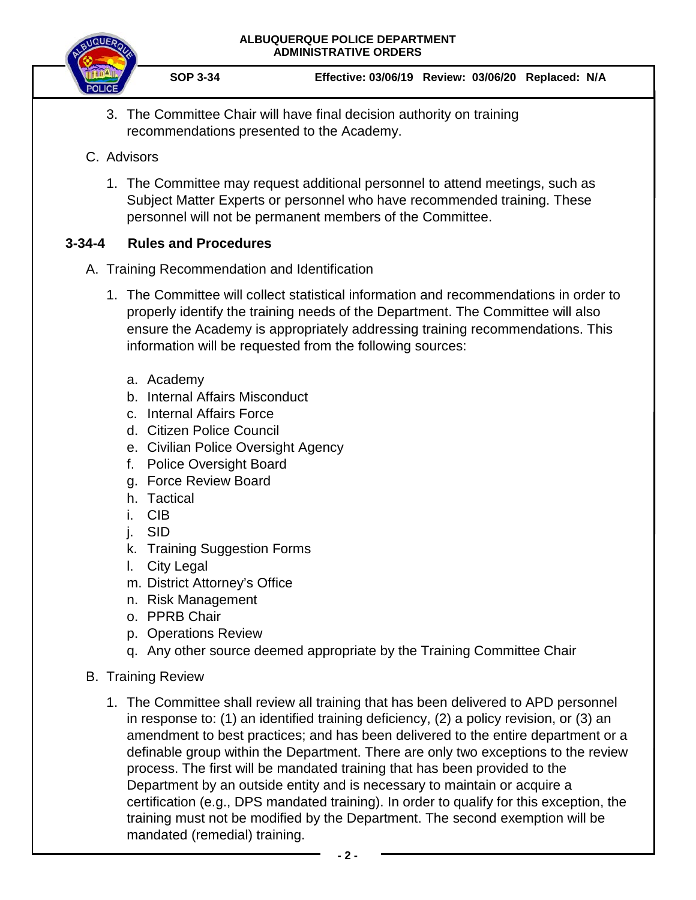#### **ALBUQUERQUE POLICE DEPARTMENT ADMINISTRATIVE ORDERS**



**SOP 3-34 Effective: 03/06/19 Review: 03/06/20 Replaced: N/A**

- 3. The Committee Chair will have final decision authority on training recommendations presented to the Academy.
- C. Advisors
	- 1. The Committee may request additional personnel to attend meetings, such as Subject Matter Experts or personnel who have recommended training. These personnel will not be permanent members of the Committee.

# **3-34-4 Rules and Procedures**

- A. Training Recommendation and Identification
	- 1. The Committee will collect statistical information and recommendations in order to properly identify the training needs of the Department. The Committee will also ensure the Academy is appropriately addressing training recommendations. This information will be requested from the following sources:
		- a. Academy
		- b. Internal Affairs Misconduct
		- c. Internal Affairs Force
		- d. Citizen Police Council
		- e. Civilian Police Oversight Agency
		- f. Police Oversight Board
		- g. Force Review Board
		- h. Tactical
		- i. CIB
		- j. SID
		- k. Training Suggestion Forms
		- l. City Legal
		- m. District Attorney's Office
		- n. Risk Management
		- o. PPRB Chair
		- p. Operations Review
		- q. Any other source deemed appropriate by the Training Committee Chair
- B. Training Review
	- 1. The Committee shall review all training that has been delivered to APD personnel in response to: (1) an identified training deficiency, (2) a policy revision, or (3) an amendment to best practices; and has been delivered to the entire department or a definable group within the Department. There are only two exceptions to the review process. The first will be mandated training that has been provided to the Department by an outside entity and is necessary to maintain or acquire a certification (e.g., DPS mandated training). In order to qualify for this exception, the training must not be modified by the Department. The second exemption will be mandated (remedial) training.